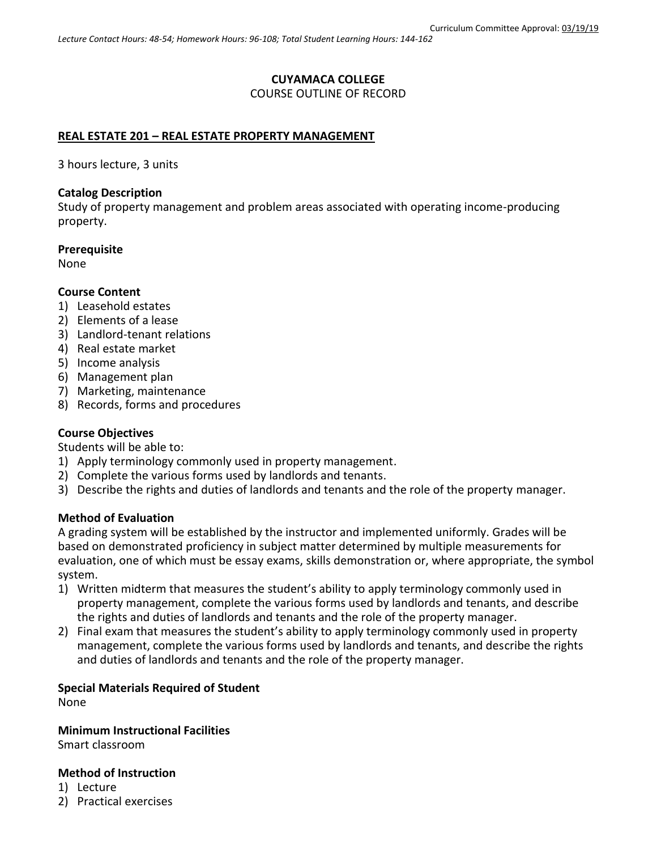# **CUYAMACA COLLEGE**

COURSE OUTLINE OF RECORD

# **REAL ESTATE 201 – REAL ESTATE PROPERTY MANAGEMENT**

3 hours lecture, 3 units

### **Catalog Description**

Study of property management and problem areas associated with operating income-producing property.

### **Prerequisite**

None

### **Course Content**

- 1) Leasehold estates
- 2) Elements of a lease
- 3) Landlord-tenant relations
- 4) Real estate market
- 5) Income analysis
- 6) Management plan
- 7) Marketing, maintenance
- 8) Records, forms and procedures

# **Course Objectives**

Students will be able to:

- 1) Apply terminology commonly used in property management.
- 2) Complete the various forms used by landlords and tenants.
- 3) Describe the rights and duties of landlords and tenants and the role of the property manager.

#### **Method of Evaluation**

A grading system will be established by the instructor and implemented uniformly. Grades will be based on demonstrated proficiency in subject matter determined by multiple measurements for evaluation, one of which must be essay exams, skills demonstration or, where appropriate, the symbol system.

- 1) Written midterm that measures the student's ability to apply terminology commonly used in property management, complete the various forms used by landlords and tenants, and describe the rights and duties of landlords and tenants and the role of the property manager.
- 2) Final exam that measures the student's ability to apply terminology commonly used in property management, complete the various forms used by landlords and tenants, and describe the rights and duties of landlords and tenants and the role of the property manager.

# **Special Materials Required of Student**

None

**Minimum Instructional Facilities**

Smart classroom

### **Method of Instruction**

- 1) Lecture
- 2) Practical exercises